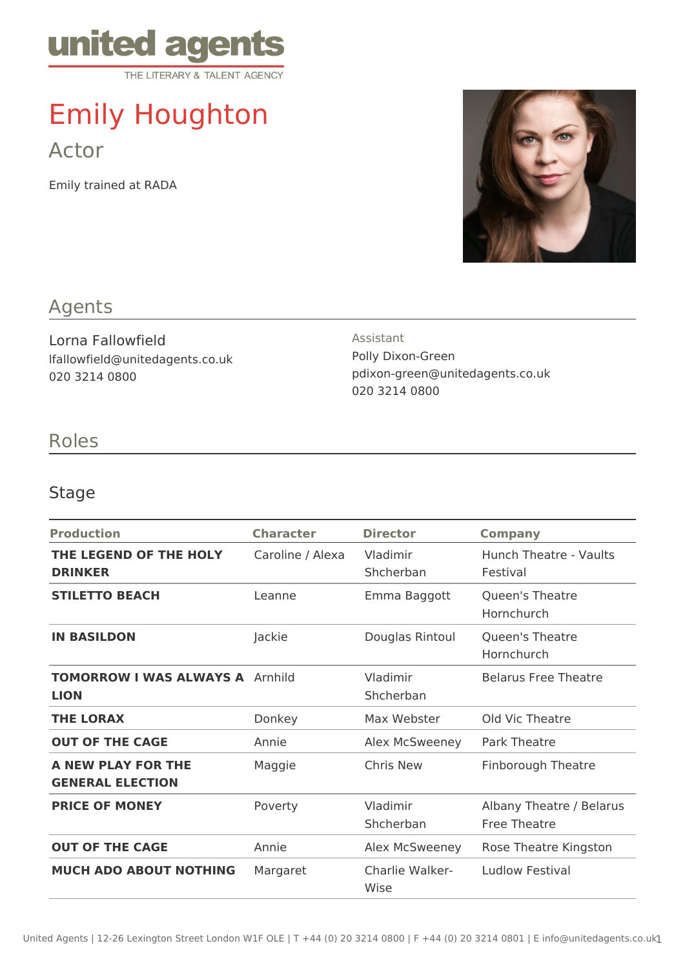

# Emily Houghton Actor

Emily trained at RADA



## Agents

Lorna Fallowfield lfallowfield@unitedagents.co.uk 020 3214 0800

#### Assistant

Polly Dixon-Green pdixon-green@unitedagents.co.uk 020 3214 0800

### Roles

#### Stage

| <b>Production</b>                                     | <b>Character</b> | <b>Director</b>         | <b>Company</b>                                  |
|-------------------------------------------------------|------------------|-------------------------|-------------------------------------------------|
| THE LEGEND OF THE HOLY<br><b>DRINKER</b>              | Caroline / Alexa | Vladimir<br>Shcherban   | Hunch Theatre - Vaults<br>Festival              |
| <b>STILETTO BEACH</b>                                 | Leanne           | Emma Baggott            | Queen's Theatre<br>Hornchurch                   |
| <b>IN BASILDON</b>                                    | Jackie           | Douglas Rintoul         | Queen's Theatre<br>Hornchurch                   |
| <b>TOMORROW I WAS ALWAYS A Arnhild</b><br><b>LION</b> |                  | Vladimir<br>Shcherban   | <b>Belarus Free Theatre</b>                     |
| <b>THE LORAX</b>                                      | Donkey           | Max Webster             | Old Vic Theatre                                 |
| <b>OUT OF THE CAGE</b>                                | Annie            | Alex McSweeney          | <b>Park Theatre</b>                             |
| A NEW PLAY FOR THE<br><b>GENERAL ELECTION</b>         | Maggie           | Chris New               | <b>Finborough Theatre</b>                       |
| <b>PRICE OF MONEY</b>                                 | Poverty          | Vladimir<br>Shcherban   | Albany Theatre / Belarus<br><b>Free Theatre</b> |
| <b>OUT OF THE CAGE</b>                                | Annie            | Alex McSweeney          | Rose Theatre Kingston                           |
| <b>MUCH ADO ABOUT NOTHING</b>                         | Margaret         | Charlie Walker-<br>Wise | Ludlow Festival                                 |